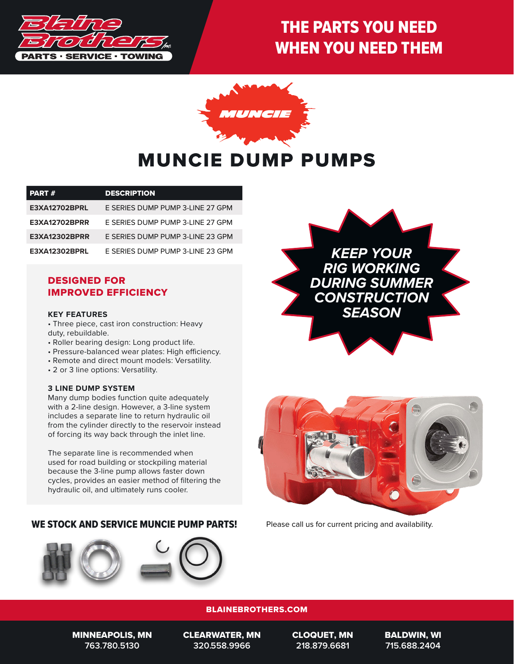

# THE PARTS YOU NEED WHEN YOU NEED THEM



# MUNCIE DUMP PUMPS

| <b>PART#</b>         | <b>DESCRIPTION</b>               |
|----------------------|----------------------------------|
| <b>E3XA12702BPRL</b> | E SERIES DUMP PUMP 3-LINE 27 GPM |
| <b>E3XA12702BPRR</b> | E SERIES DUMP PUMP 3-LINE 27 GPM |
| <b>E3XA12302BPRR</b> | E SERIES DUMP PUMP 3-LINE 23 GPM |
| <b>E3XA12302BPRL</b> | E SERIES DUMP PUMP 3-LINE 23 GPM |

### DESIGNED FOR IMPROVED EFFICIENCY

#### **KEY FEATURES**

- Three piece, cast iron construction: Heavy duty, rebuildable.
- Roller bearing design: Long product life.
- Pressure-balanced wear plates: High efficiency.
- Remote and direct mount models: Versatility.
- 2 or 3 line options: Versatility.

#### **3 LINE DUMP SYSTEM**

Many dump bodies function quite adequately with a 2-line design. However, a 3-line system includes a separate line to return hydraulic oil from the cylinder directly to the reservoir instead of forcing its way back through the inlet line.

The separate line is recommended when used for road building or stockpiling material because the 3-line pump allows faster down cycles, provides an easier method of filtering the hydraulic oil, and ultimately runs cooler.

#### WE STOCK AND SERVICE MUNCIE PUMP PARTS! Please call us for current pricing and availability.







#### BLAINEBROTHERS.COM

MINNEAPOLIS, MN **763.780.5130**

CLEARWATER, MN **320.558.9966**

CLOQUET, MN **218.879.6681**

BALDWIN, WI **715.688.2404**